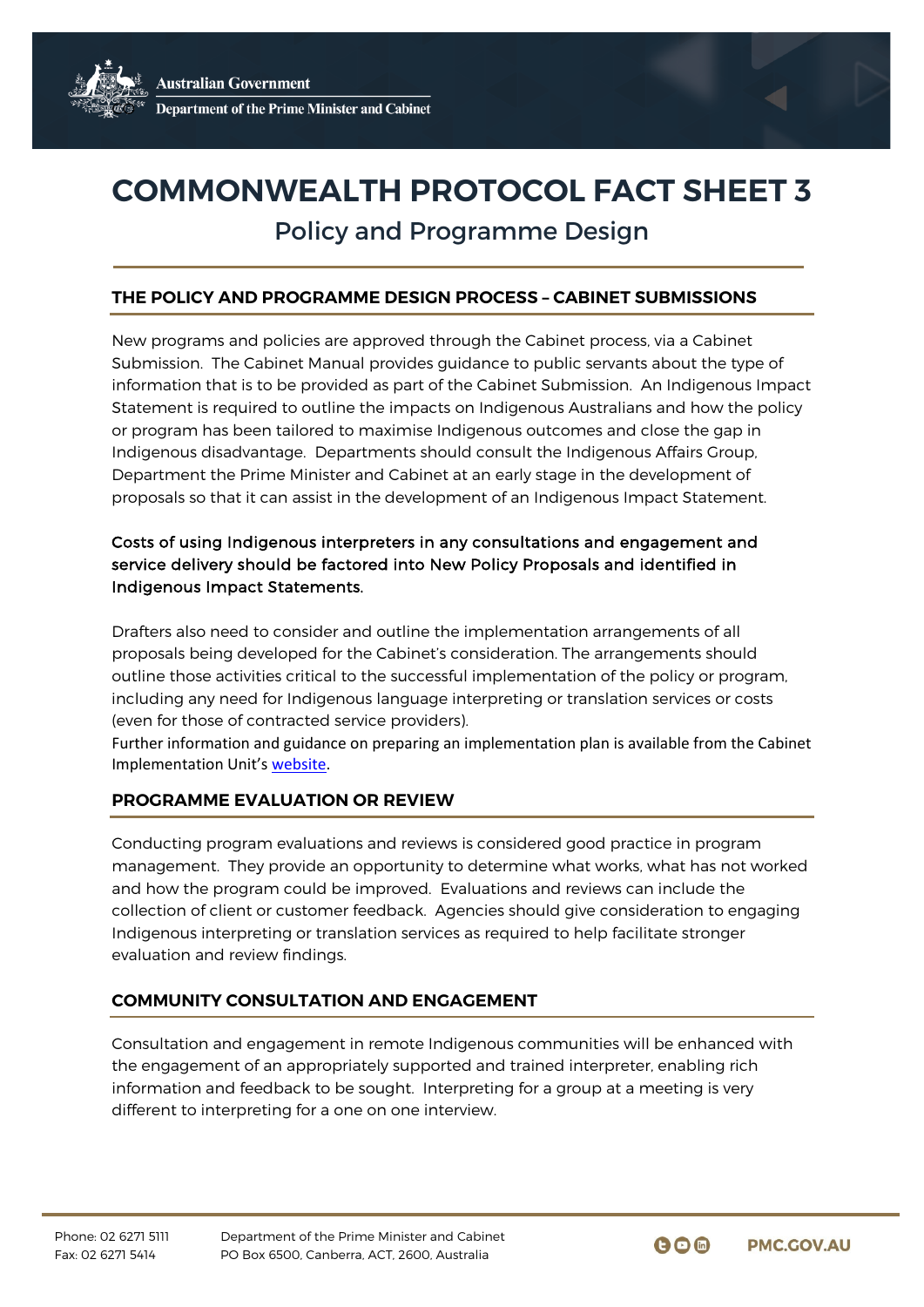# **COMMONWEALTH PROTOCOL FACT SHEET 3**

# Policy and Programme Design

# **THE POLICY AND PROGRAMME DESIGN PROCESS – CABINET SUBMISSIONS**

New programs and policies are approved through the Cabinet process, via a Cabinet Submission. The Cabinet Manual provides guidance to public servants about the type of information that is to be provided as part of the Cabinet Submission. An Indigenous Impact Statement is required to outline the impacts on Indigenous Australians and how the policy or program has been tailored to maximise Indigenous outcomes and close the gap in Indigenous disadvantage. Departments should consult the Indigenous Affairs Group, Department the Prime Minister and Cabinet at an early stage in the development of proposals so that it can assist in the development of an Indigenous Impact Statement.

# Costs of using Indigenous interpreters in any consultations and engagement and service delivery should be factored into New Policy Proposals and identified in Indigenous Impact Statements.

Drafters also need to consider and outline the implementation arrangements of all proposals being developed for the Cabinet's consideration. The arrangements should outline those activities critical to the successful implementation of the policy or program, including any need for Indigenous language interpreting or translation services or costs (even for those of contracted service providers).

Further information and guidance on preparing an implementation plan is available from the Cabinet Implementation Unit's [website.](http://www.dpmc.gov.au/government/policy-implementation)

# **PROGRAMME EVALUATION OR REVIEW**

Conducting program evaluations and reviews is considered good practice in program management. They provide an opportunity to determine what works, what has not worked and how the program could be improved. Evaluations and reviews can include the collection of client or customer feedback. Agencies should give consideration to engaging Indigenous interpreting or translation services as required to help facilitate stronger evaluation and review findings.

# **COMMUNITY CONSULTATION AND ENGAGEMENT**

Consultation and engagement in remote Indigenous communities will be enhanced with the engagement of an appropriately supported and trained interpreter, enabling rich information and feedback to be sought. Interpreting for a group at a meeting is very different to interpreting for a one on one interview.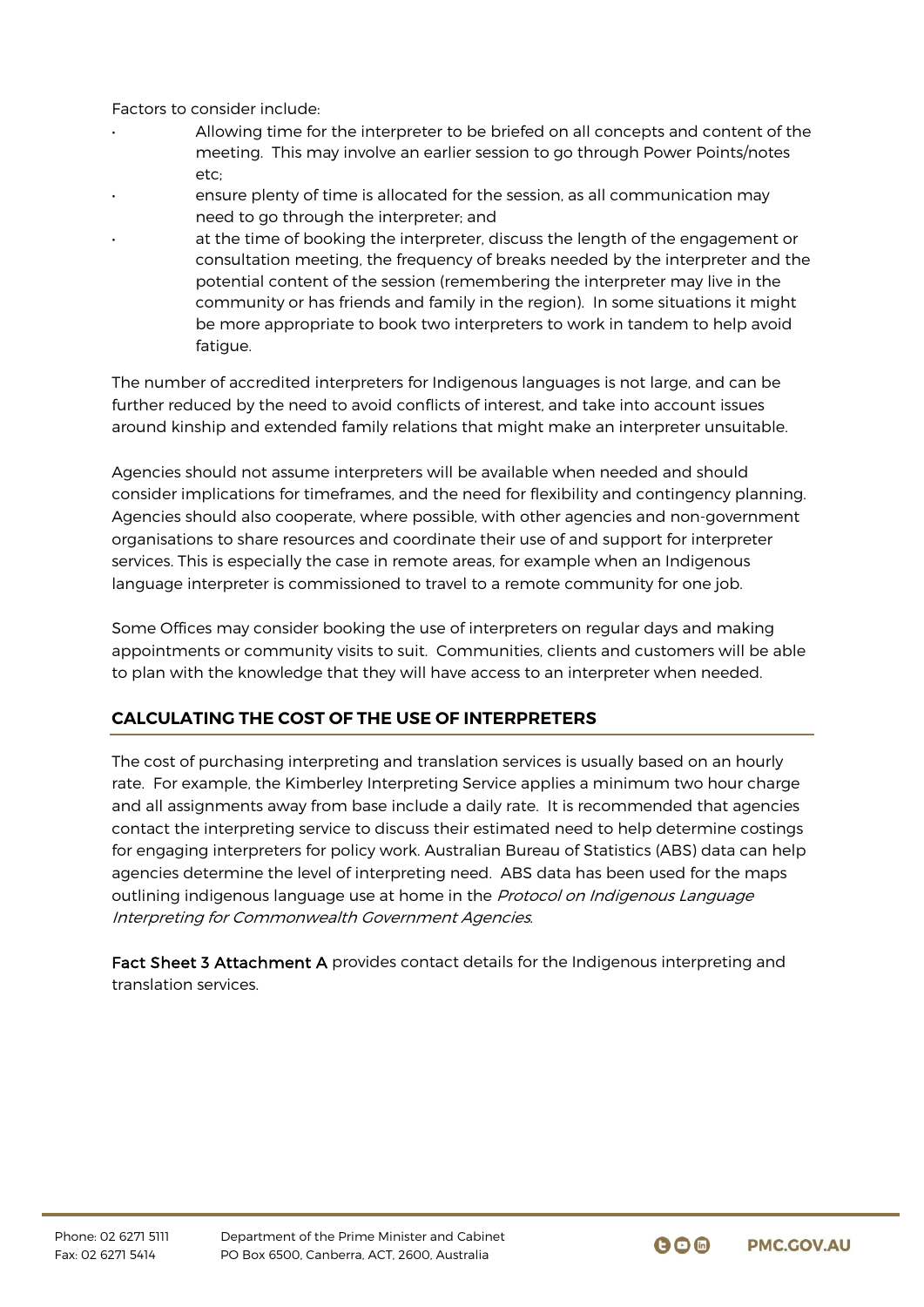Factors to consider include:

- Allowing time for the interpreter to be briefed on all concepts and content of the meeting. This may involve an earlier session to go through Power Points/notes etc;
- ensure plenty of time is allocated for the session, as all communication may need to go through the interpreter; and
	- at the time of booking the interpreter, discuss the length of the engagement or consultation meeting, the frequency of breaks needed by the interpreter and the potential content of the session (remembering the interpreter may live in the community or has friends and family in the region). In some situations it might be more appropriate to book two interpreters to work in tandem to help avoid fatigue.

The number of accredited interpreters for Indigenous languages is not large, and can be further reduced by the need to avoid conflicts of interest, and take into account issues around kinship and extended family relations that might make an interpreter unsuitable.

Agencies should not assume interpreters will be available when needed and should consider implications for timeframes, and the need for flexibility and contingency planning. Agencies should also cooperate, where possible, with other agencies and non-government organisations to share resources and coordinate their use of and support for interpreter services. This is especially the case in remote areas, for example when an Indigenous language interpreter is commissioned to travel to a remote community for one job.

Some Offices may consider booking the use of interpreters on regular days and making appointments or community visits to suit. Communities, clients and customers will be able to plan with the knowledge that they will have access to an interpreter when needed.

# **CALCULATING THE COST OF THE USE OF INTERPRETERS**

The cost of purchasing interpreting and translation services is usually based on an hourly rate. For example, the Kimberley Interpreting Service applies a minimum two hour charge and all assignments away from base include a daily rate. It is recommended that agencies contact the interpreting service to discuss their estimated need to help determine costings for engaging interpreters for policy work. Australian Bureau of Statistics (ABS) data can help agencies determine the level of interpreting need. ABS data has been used for the maps outlining indigenous language use at home in the Protocol on Indigenous Language Interpreting for Commonwealth Government Agencies.

Fact Sheet 3 Attachment A provides contact details for the Indigenous interpreting and translation services.